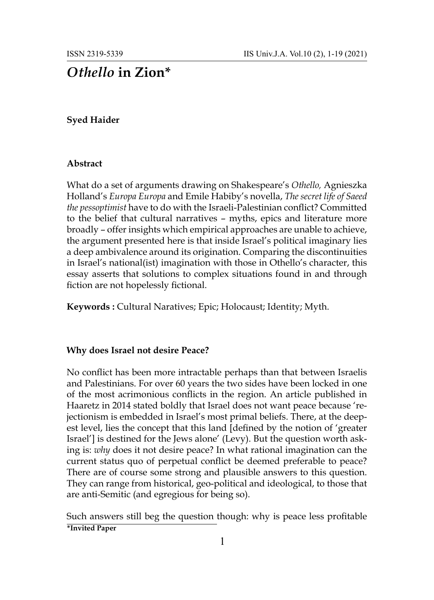# *Othello* **in Zion\***

# **Syed Haider**

### **Abstract**

What do a set of arguments drawing on Shakespeare's *Othello,* Agnieszka Holland's *Europa Europa* and Emile Habiby's novella, *The secret life of Saeed the pessoptimist* have to do with the Israeli-Palestinian conflict? Committed to the belief that cultural narratives – myths, epics and literature more broadly – offer insights which empirical approaches are unable to achieve, the argument presented here is that inside Israel's political imaginary lies a deep ambivalence around its origination. Comparing the discontinuities in Israel's national(ist) imagination with those in Othello's character, this essay asserts that solutions to complex situations found in and through fiction are not hopelessly fictional.

**Keywords :** Cultural Naratives; Epic; Holocaust; Identity; Myth.

## **Why does Israel not desire Peace?**

No conflict has been more intractable perhaps than that between Israelis and Palestinians. For over 60 years the two sides have been locked in one of the most acrimonious conflicts in the region. An article published in Haaretz in 2014 stated boldly that Israel does not want peace because 'rejectionism is embedded in Israel's most primal beliefs. There, at the deepest level, lies the concept that this land [defined by the notion of 'greater Israel'] is destined for the Jews alone' (Levy). But the question worth asking is: *why* does it not desire peace? In what rational imagination can the current status quo of perpetual conflict be deemed preferable to peace? There are of course some strong and plausible answers to this question. They can range from historical, geo-political and ideological, to those that are anti-Semitic (and egregious for being so).

Such answers still beg the question though: why is peace less profitable **\*Invited Paper**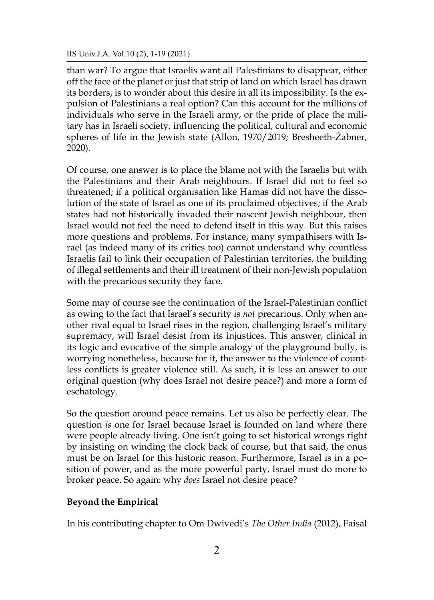than war? To argue that Israelis want all Palestinians to disappear, either off the face of the planet or just that strip of land on which Israel has drawn its borders, is to wonder about this desire in all its impossibility. Is the expulsion of Palestinians a real option? Can this account for the millions of individuals who serve in the Israeli army, or the pride of place the military has in Israeli society, influencing the political, cultural and economic spheres of life in the Jewish state (Allon, 1970/2019; Bresheeth-Žabner, 2020).

Of course, one answer is to place the blame not with the Israelis but with the Palestinians and their Arab neighbours. If Israel did not to feel so threatened; if a political organisation like Hamas did not have the dissolution of the state of Israel as one of its proclaimed objectives; if the Arab states had not historically invaded their nascent Jewish neighbour, then Israel would not feel the need to defend itself in this way. But this raises more questions and problems. For instance, many sympathisers with Israel (as indeed many of its critics too) cannot understand why countless Israelis fail to link their occupation of Palestinian territories, the building of illegal settlements and their ill treatment of their non-Jewish population with the precarious security they face.

Some may of course see the continuation of the Israel-Palestinian conflict as owing to the fact that Israel's security is *not* precarious. Only when another rival equal to Israel rises in the region, challenging Israel's military supremacy, will Israel desist from its injustices. This answer, clinical in its logic and evocative of the simple analogy of the playground bully, is worrying nonetheless, because for it, the answer to the violence of countless conflicts is greater violence still. As such, it is less an answer to our original question (why does Israel not desire peace?) and more a form of eschatology.

So the question around peace remains. Let us also be perfectly clear. The question *is* one for Israel because Israel is founded on land where there were people already living. One isn't going to set historical wrongs right by insisting on winding the clock back of course, but that said, the onus must be on Israel for this historic reason. Furthermore, Israel is in a position of power, and as the more powerful party, Israel must do more to broker peace. So again: why *does* Israel not desire peace?

# **Beyond the Empirical**

In his contributing chapter to Om Dwivedi's *The Other India* (2012), Faisal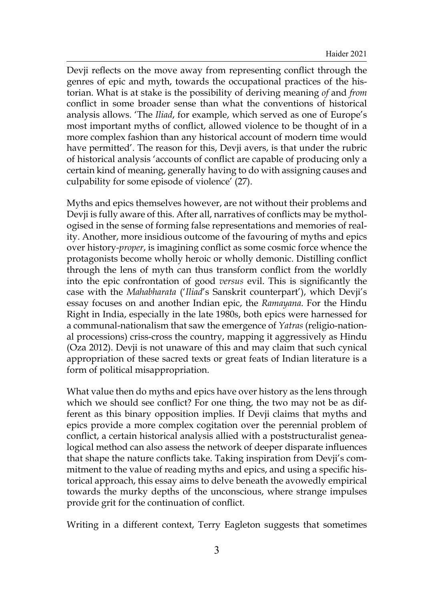Devji reflects on the move away from representing conflict through the genres of epic and myth, towards the occupational practices of the historian. What is at stake is the possibility of deriving meaning *of* and *from* conflict in some broader sense than what the conventions of historical analysis allows. 'The *Iliad*, for example, which served as one of Europe's most important myths of conflict, allowed violence to be thought of in a more complex fashion than any historical account of modern time would have permitted'. The reason for this, Devji avers, is that under the rubric of historical analysis 'accounts of conflict are capable of producing only a certain kind of meaning, generally having to do with assigning causes and culpability for some episode of violence' (27).

Myths and epics themselves however, are not without their problems and Devji is fully aware of this. After all, narratives of conflicts may be mythologised in the sense of forming false representations and memories of reality. Another, more insidious outcome of the favouring of myths and epics over history*-proper*, is imagining conflict as some cosmic force whence the protagonists become wholly heroic or wholly demonic. Distilling conflict through the lens of myth can thus transform conflict from the worldly into the epic confrontation of good *versus* evil. This is significantly the case with the *Mahabharata* ('*Iliad*'s Sanskrit counterpart'), which Devji's essay focuses on and another Indian epic, the *Ramayana*. For the Hindu Right in India, especially in the late 1980s, both epics were harnessed for a communal-nationalism that saw the emergence of *Yatras* (religio-national processions) criss-cross the country, mapping it aggressively as Hindu (Oza 2012). Devji is not unaware of this and may claim that such cynical appropriation of these sacred texts or great feats of Indian literature is a form of political misappropriation.

What value then do myths and epics have over history as the lens through which we should see conflict? For one thing, the two may not be as different as this binary opposition implies. If Devji claims that myths and epics provide a more complex cogitation over the perennial problem of conflict, a certain historical analysis allied with a poststructuralist genealogical method can also assess the network of deeper disparate influences that shape the nature conflicts take. Taking inspiration from Devji's commitment to the value of reading myths and epics, and using a specific historical approach, this essay aims to delve beneath the avowedly empirical towards the murky depths of the unconscious, where strange impulses provide grit for the continuation of conflict.

Writing in a different context, Terry Eagleton suggests that sometimes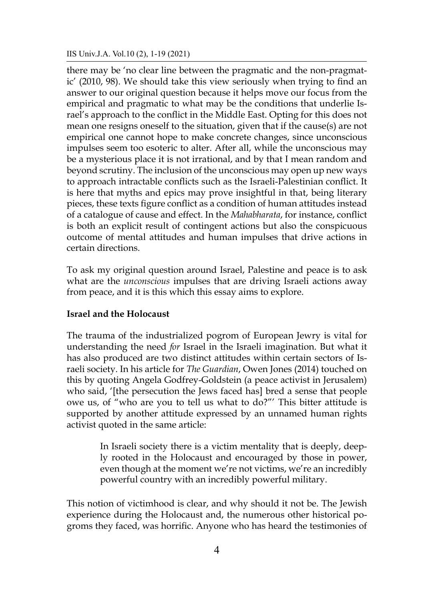there may be 'no clear line between the pragmatic and the non-pragmatic' (2010, 98). We should take this view seriously when trying to find an answer to our original question because it helps move our focus from the empirical and pragmatic to what may be the conditions that underlie Israel's approach to the conflict in the Middle East. Opting for this does not mean one resigns oneself to the situation, given that if the cause(s) are not empirical one cannot hope to make concrete changes, since unconscious impulses seem too esoteric to alter. After all, while the unconscious may be a mysterious place it is not irrational, and by that I mean random and beyond scrutiny. The inclusion of the unconscious may open up new ways to approach intractable conflicts such as the Israeli-Palestinian conflict. It is here that myths and epics may prove insightful in that, being literary pieces, these texts figure conflict as a condition of human attitudes instead of a catalogue of cause and effect. In the *Mahabharata*, for instance, conflict is both an explicit result of contingent actions but also the conspicuous outcome of mental attitudes and human impulses that drive actions in certain directions.

To ask my original question around Israel, Palestine and peace is to ask what are the *unconscious* impulses that are driving Israeli actions away from peace, and it is this which this essay aims to explore.

## **Israel and the Holocaust**

The trauma of the industrialized pogrom of European Jewry is vital for understanding the need *for* Israel in the Israeli imagination. But what it has also produced are two distinct attitudes within certain sectors of Israeli society. In his article for *The Guardian*, Owen Jones (2014) touched on this by quoting Angela Godfrey-Goldstein (a peace activist in Jerusalem) who said, '[the persecution the Jews faced has] bred a sense that people owe us, of "who are you to tell us what to do?"' This bitter attitude is supported by another attitude expressed by an unnamed human rights activist quoted in the same article:

> In Israeli society there is a victim mentality that is deeply, deeply rooted in the Holocaust and encouraged by those in power, even though at the moment we're not victims, we're an incredibly powerful country with an incredibly powerful military.

This notion of victimhood is clear, and why should it not be. The Jewish experience during the Holocaust and, the numerous other historical pogroms they faced, was horrific. Anyone who has heard the testimonies of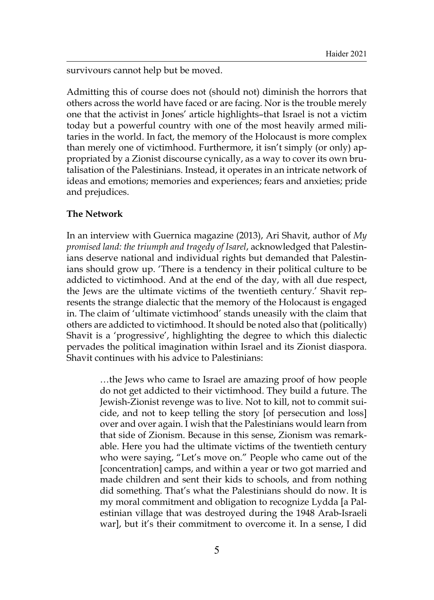survivours cannot help but be moved.

Admitting this of course does not (should not) diminish the horrors that others across the world have faced or are facing. Nor is the trouble merely one that the activist in Jones' article highlights–that Israel is not a victim today but a powerful country with one of the most heavily armed militaries in the world. In fact, the memory of the Holocaust is more complex than merely one of victimhood. Furthermore, it isn't simply (or only) appropriated by a Zionist discourse cynically, as a way to cover its own brutalisation of the Palestinians. Instead, it operates in an intricate network of ideas and emotions; memories and experiences; fears and anxieties; pride and prejudices.

### **The Network**

In an interview with Guernica magazine (2013), Ari Shavit, author of *My promised land: the triumph and tragedy of Isarel*, acknowledged that Palestinians deserve national and individual rights but demanded that Palestinians should grow up. 'There is a tendency in their political culture to be addicted to victimhood. And at the end of the day, with all due respect, the Jews are the ultimate victims of the twentieth century.' Shavit represents the strange dialectic that the memory of the Holocaust is engaged in. The claim of 'ultimate victimhood' stands uneasily with the claim that others are addicted to victimhood. It should be noted also that (politically) Shavit is a 'progressive', highlighting the degree to which this dialectic pervades the political imagination within Israel and its Zionist diaspora. Shavit continues with his advice to Palestinians:

> …the Jews who came to Israel are amazing proof of how people do not get addicted to their victimhood. They build a future. The Jewish-Zionist revenge was to live. Not to kill, not to commit suicide, and not to keep telling the story [of persecution and loss] over and over again. I wish that the Palestinians would learn from that side of Zionism. Because in this sense, Zionism was remarkable. Here you had the ultimate victims of the twentieth century who were saying, "Let's move on." People who came out of the [concentration] camps, and within a year or two got married and made children and sent their kids to schools, and from nothing did something. That's what the Palestinians should do now. It is my moral commitment and obligation to recognize Lydda [a Palestinian village that was destroyed during the 1948 Arab-Israeli war], but it's their commitment to overcome it. In a sense, I did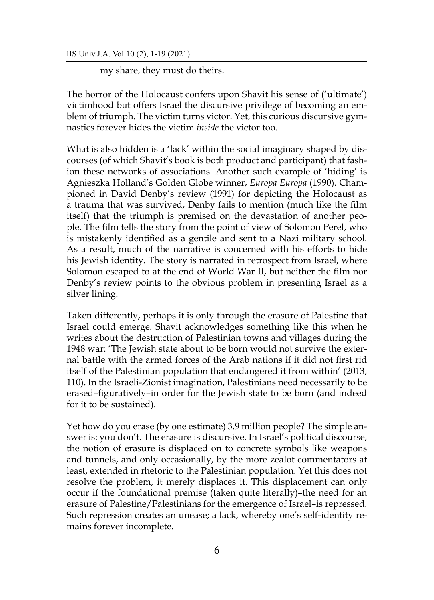my share, they must do theirs.

The horror of the Holocaust confers upon Shavit his sense of ('ultimate') victimhood but offers Israel the discursive privilege of becoming an emblem of triumph. The victim turns victor. Yet, this curious discursive gymnastics forever hides the victim *inside* the victor too.

What is also hidden is a 'lack' within the social imaginary shaped by discourses (of which Shavit's book is both product and participant) that fashion these networks of associations. Another such example of 'hiding' is Agnieszka Holland's Golden Globe winner, *Europa Europa* (1990). Championed in David Denby's review (1991) for depicting the Holocaust as a trauma that was survived, Denby fails to mention (much like the film itself) that the triumph is premised on the devastation of another people. The film tells the story from the point of view of Solomon Perel, who is mistakenly identified as a gentile and sent to a Nazi military school. As a result, much of the narrative is concerned with his efforts to hide his Jewish identity. The story is narrated in retrospect from Israel, where Solomon escaped to at the end of World War II, but neither the film nor Denby's review points to the obvious problem in presenting Israel as a silver lining.

Taken differently, perhaps it is only through the erasure of Palestine that Israel could emerge. Shavit acknowledges something like this when he writes about the destruction of Palestinian towns and villages during the 1948 war: 'The Jewish state about to be born would not survive the external battle with the armed forces of the Arab nations if it did not first rid itself of the Palestinian population that endangered it from within' (2013, 110). In the Israeli-Zionist imagination, Palestinians need necessarily to be erased–figuratively–in order for the Jewish state to be born (and indeed for it to be sustained).

Yet how do you erase (by one estimate) 3.9 million people? The simple answer is: you don't. The erasure is discursive. In Israel's political discourse, the notion of erasure is displaced on to concrete symbols like weapons and tunnels, and only occasionally, by the more zealot commentators at least, extended in rhetoric to the Palestinian population. Yet this does not resolve the problem, it merely displaces it. This displacement can only occur if the foundational premise (taken quite literally)–the need for an erasure of Palestine/Palestinians for the emergence of Israel–is repressed. Such repression creates an unease; a lack, whereby one's self-identity remains forever incomplete.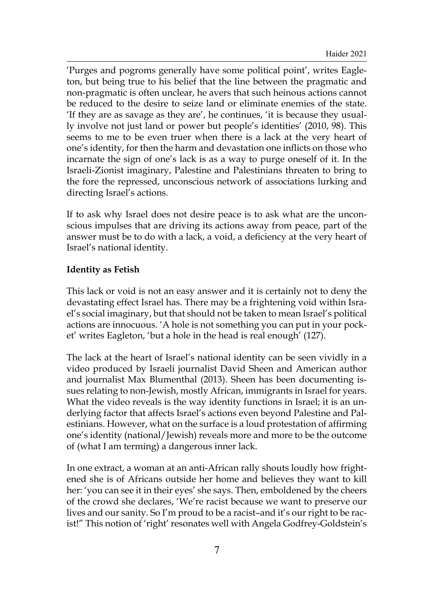'Purges and pogroms generally have some political point', writes Eagleton, but being true to his belief that the line between the pragmatic and non-pragmatic is often unclear, he avers that such heinous actions cannot be reduced to the desire to seize land or eliminate enemies of the state. 'If they are as savage as they are', he continues, 'it is because they usually involve not just land or power but people's identities' (2010, 98). This seems to me to be even truer when there is a lack at the very heart of one's identity, for then the harm and devastation one inflicts on those who incarnate the sign of one's lack is as a way to purge oneself of it. In the Israeli-Zionist imaginary, Palestine and Palestinians threaten to bring to the fore the repressed, unconscious network of associations lurking and directing Israel's actions.

If to ask why Israel does not desire peace is to ask what are the unconscious impulses that are driving its actions away from peace, part of the answer must be to do with a lack, a void, a deficiency at the very heart of Israel's national identity.

# **Identity as Fetish**

This lack or void is not an easy answer and it is certainly not to deny the devastating effect Israel has. There may be a frightening void within Israel's social imaginary, but that should not be taken to mean Israel's political actions are innocuous. 'A hole is not something you can put in your pocket' writes Eagleton, 'but a hole in the head is real enough' (127).

The lack at the heart of Israel's national identity can be seen vividly in a video produced by Israeli journalist David Sheen and American author and journalist Max Blumenthal (2013). Sheen has been documenting issues relating to non-Jewish, mostly African, immigrants in Israel for years. What the video reveals is the way identity functions in Israel; it is an underlying factor that affects Israel's actions even beyond Palestine and Palestinians. However, what on the surface is a loud protestation of affirming one's identity (national/Jewish) reveals more and more to be the outcome of (what I am terming) a dangerous inner lack.

In one extract, a woman at an anti-African rally shouts loudly how frightened she is of Africans outside her home and believes they want to kill her: 'you can see it in their eyes' she says. Then, emboldened by the cheers of the crowd she declares, 'We're racist because we want to preserve our lives and our sanity. So I'm proud to be a racist–and it's our right to be racist!" This notion of 'right' resonates well with Angela Godfrey-Goldstein's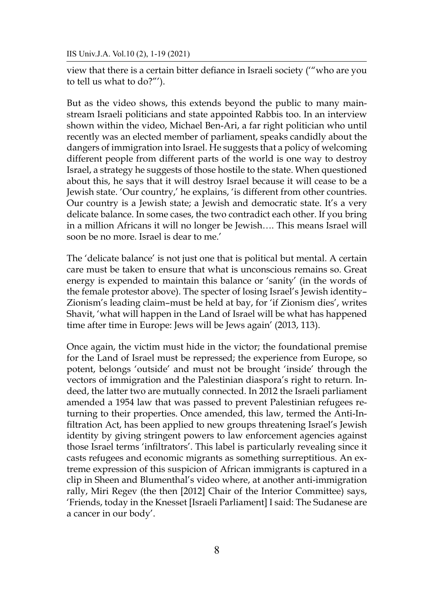view that there is a certain bitter defiance in Israeli society ('"who are you to tell us what to do?"').

But as the video shows, this extends beyond the public to many mainstream Israeli politicians and state appointed Rabbis too. In an interview shown within the video, Michael Ben-Ari, a far right politician who until recently was an elected member of parliament, speaks candidly about the dangers of immigration into Israel. He suggests that a policy of welcoming different people from different parts of the world is one way to destroy Israel, a strategy he suggests of those hostile to the state. When questioned about this, he says that it will destroy Israel because it will cease to be a Jewish state. 'Our country,' he explains, 'is different from other countries. Our country is a Jewish state; a Jewish and democratic state. It's a very delicate balance. In some cases, the two contradict each other. If you bring in a million Africans it will no longer be Jewish…. This means Israel will soon be no more. Israel is dear to me.'

The 'delicate balance' is not just one that is political but mental. A certain care must be taken to ensure that what is unconscious remains so. Great energy is expended to maintain this balance or 'sanity' (in the words of the female protestor above). The specter of losing Israel's Jewish identity– Zionism's leading claim–must be held at bay, for 'if Zionism dies', writes Shavit, 'what will happen in the Land of Israel will be what has happened time after time in Europe: Jews will be Jews again' (2013, 113).

Once again, the victim must hide in the victor; the foundational premise for the Land of Israel must be repressed; the experience from Europe, so potent, belongs 'outside' and must not be brought 'inside' through the vectors of immigration and the Palestinian diaspora's right to return. Indeed, the latter two are mutually connected. In 2012 the Israeli parliament amended a 1954 law that was passed to prevent Palestinian refugees returning to their properties. Once amended, this law, termed the Anti-Infiltration Act, has been applied to new groups threatening Israel's Jewish identity by giving stringent powers to law enforcement agencies against those Israel terms 'infiltrators'. This label is particularly revealing since it casts refugees and economic migrants as something surreptitious. An extreme expression of this suspicion of African immigrants is captured in a clip in Sheen and Blumenthal's video where, at another anti-immigration rally, Miri Regev (the then [2012] Chair of the Interior Committee) says, 'Friends, today in the Knesset [Israeli Parliament] I said: The Sudanese are a cancer in our body'.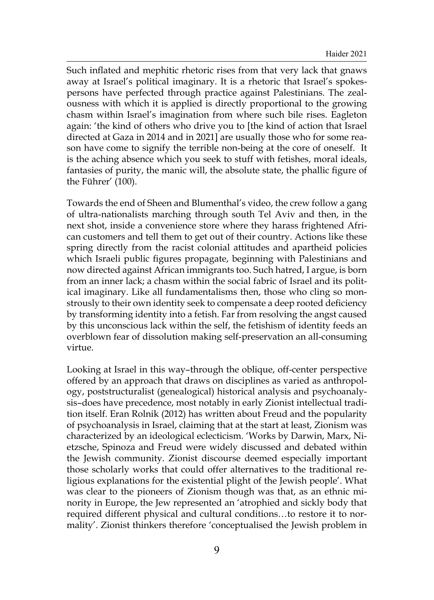Such inflated and mephitic rhetoric rises from that very lack that gnaws away at Israel's political imaginary. It is a rhetoric that Israel's spokespersons have perfected through practice against Palestinians. The zealousness with which it is applied is directly proportional to the growing chasm within Israel's imagination from where such bile rises. Eagleton again: 'the kind of others who drive you to [the kind of action that Israel directed at Gaza in 2014 and in 2021] are usually those who for some reason have come to signify the terrible non-being at the core of oneself. It is the aching absence which you seek to stuff with fetishes, moral ideals, fantasies of purity, the manic will, the absolute state, the phallic figure of the Führer' (100).

Towards the end of Sheen and Blumenthal's video, the crew follow a gang of ultra-nationalists marching through south Tel Aviv and then, in the next shot, inside a convenience store where they harass frightened African customers and tell them to get out of their country. Actions like these spring directly from the racist colonial attitudes and apartheid policies which Israeli public figures propagate, beginning with Palestinians and now directed against African immigrants too. Such hatred, I argue, is born from an inner lack; a chasm within the social fabric of Israel and its political imaginary. Like all fundamentalisms then, those who cling so monstrously to their own identity seek to compensate a deep rooted deficiency by transforming identity into a fetish. Far from resolving the angst caused by this unconscious lack within the self, the fetishism of identity feeds an overblown fear of dissolution making self-preservation an all-consuming virtue.

Looking at Israel in this way–through the oblique, off-center perspective offered by an approach that draws on disciplines as varied as anthropology, poststructuralist (genealogical) historical analysis and psychoanalysis–does have precedence, most notably in early Zionist intellectual tradition itself. Eran Rolnik (2012) has written about Freud and the popularity of psychoanalysis in Israel, claiming that at the start at least, Zionism was characterized by an ideological eclecticism. 'Works by Darwin, Marx, Nietzsche, Spinoza and Freud were widely discussed and debated within the Jewish community. Zionist discourse deemed especially important those scholarly works that could offer alternatives to the traditional religious explanations for the existential plight of the Jewish people'. What was clear to the pioneers of Zionism though was that, as an ethnic minority in Europe, the Jew represented an 'atrophied and sickly body that required different physical and cultural conditions…to restore it to normality'. Zionist thinkers therefore 'conceptualised the Jewish problem in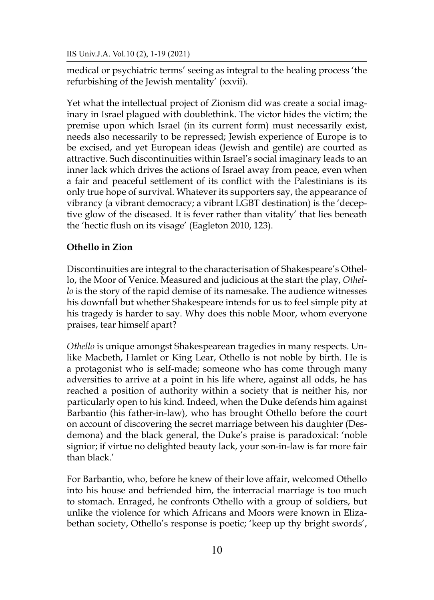medical or psychiatric terms' seeing as integral to the healing process 'the refurbishing of the Jewish mentality' (xxvii).

Yet what the intellectual project of Zionism did was create a social imaginary in Israel plagued with doublethink. The victor hides the victim; the premise upon which Israel (in its current form) must necessarily exist, needs also necessarily to be repressed; Jewish experience of Europe is to be excised, and yet European ideas (Jewish and gentile) are courted as attractive. Such discontinuities within Israel's social imaginary leads to an inner lack which drives the actions of Israel away from peace, even when a fair and peaceful settlement of its conflict with the Palestinians is its only true hope of survival. Whatever its supporters say, the appearance of vibrancy (a vibrant democracy; a vibrant LGBT destination) is the 'deceptive glow of the diseased. It is fever rather than vitality' that lies beneath the 'hectic flush on its visage' (Eagleton 2010, 123).

# **Othello in Zion**

Discontinuities are integral to the characterisation of Shakespeare's Othello, the Moor of Venice. Measured and judicious at the start the play, *Othello* is the story of the rapid demise of its namesake. The audience witnesses his downfall but whether Shakespeare intends for us to feel simple pity at his tragedy is harder to say. Why does this noble Moor, whom everyone praises, tear himself apart?

*Othello* is unique amongst Shakespearean tragedies in many respects. Unlike Macbeth, Hamlet or King Lear, Othello is not noble by birth. He is a protagonist who is self-made; someone who has come through many adversities to arrive at a point in his life where, against all odds, he has reached a position of authority within a society that is neither his, nor particularly open to his kind. Indeed, when the Duke defends him against Barbantio (his father-in-law), who has brought Othello before the court on account of discovering the secret marriage between his daughter (Desdemona) and the black general, the Duke's praise is paradoxical: 'noble signior; if virtue no delighted beauty lack, your son-in-law is far more fair than black.'

For Barbantio, who, before he knew of their love affair, welcomed Othello into his house and befriended him, the interracial marriage is too much to stomach. Enraged, he confronts Othello with a group of soldiers, but unlike the violence for which Africans and Moors were known in Elizabethan society, Othello's response is poetic; 'keep up thy bright swords',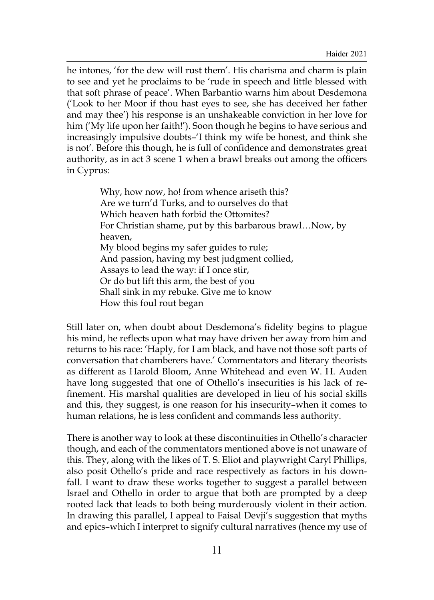he intones, 'for the dew will rust them'. His charisma and charm is plain to see and yet he proclaims to be 'rude in speech and little blessed with that soft phrase of peace'. When Barbantio warns him about Desdemona ('Look to her Moor if thou hast eyes to see, she has deceived her father and may thee') his response is an unshakeable conviction in her love for him ('My life upon her faith!'). Soon though he begins to have serious and increasingly impulsive doubts–'I think my wife be honest, and think she is not'. Before this though, he is full of confidence and demonstrates great authority, as in act 3 scene 1 when a brawl breaks out among the officers in Cyprus:

> Why, how now, ho! from whence ariseth this? Are we turn'd Turks, and to ourselves do that Which heaven hath forbid the Ottomites? For Christian shame, put by this barbarous brawl…Now, by heaven, My blood begins my safer guides to rule; And passion, having my best judgment collied, Assays to lead the way: if I once stir, Or do but lift this arm, the best of you Shall sink in my rebuke. Give me to know How this foul rout began

Still later on, when doubt about Desdemona's fidelity begins to plague his mind, he reflects upon what may have driven her away from him and returns to his race: 'Haply, for I am black, and have not those soft parts of conversation that chamberers have.' Commentators and literary theorists as different as Harold Bloom, Anne Whitehead and even W. H. Auden have long suggested that one of Othello's insecurities is his lack of refinement. His marshal qualities are developed in lieu of his social skills and this, they suggest, is one reason for his insecurity–when it comes to human relations, he is less confident and commands less authority.

There is another way to look at these discontinuities in Othello's character though, and each of the commentators mentioned above is not unaware of this. They, along with the likes of T. S. Eliot and playwright Caryl Phillips, also posit Othello's pride and race respectively as factors in his downfall. I want to draw these works together to suggest a parallel between Israel and Othello in order to argue that both are prompted by a deep rooted lack that leads to both being murderously violent in their action. In drawing this parallel, I appeal to Faisal Devji's suggestion that myths and epics–which I interpret to signify cultural narratives (hence my use of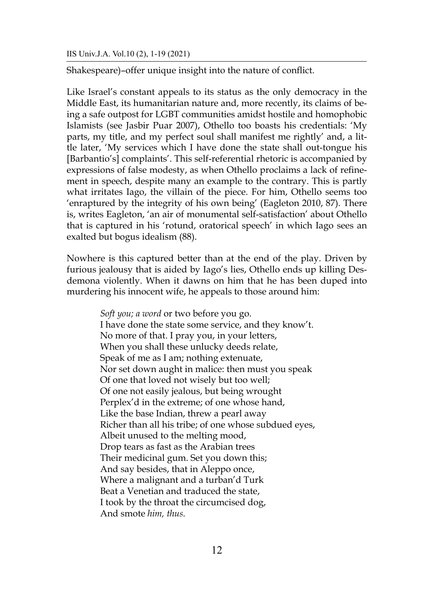Shakespeare)–offer unique insight into the nature of conflict.

Like Israel's constant appeals to its status as the only democracy in the Middle East, its humanitarian nature and, more recently, its claims of being a safe outpost for LGBT communities amidst hostile and homophobic Islamists (see Jasbir Puar 2007), Othello too boasts his credentials: 'My parts, my title, and my perfect soul shall manifest me rightly' and, a little later, 'My services which I have done the state shall out-tongue his [Barbantio's] complaints'. This self-referential rhetoric is accompanied by expressions of false modesty, as when Othello proclaims a lack of refinement in speech, despite many an example to the contrary. This is partly what irritates Iago, the villain of the piece. For him, Othello seems too 'enraptured by the integrity of his own being' (Eagleton 2010, 87). There is, writes Eagleton, 'an air of monumental self-satisfaction' about Othello that is captured in his 'rotund, oratorical speech' in which Iago sees an exalted but bogus idealism (88).

Nowhere is this captured better than at the end of the play. Driven by furious jealousy that is aided by Iago's lies, Othello ends up killing Desdemona violently. When it dawns on him that he has been duped into murdering his innocent wife, he appeals to those around him:

> *Soft you; a word* or two before you go. I have done the state some service, and they know't. No more of that. I pray you, in your letters, When you shall these unlucky deeds relate, Speak of me as I am; nothing extenuate, Nor set down aught in malice: then must you speak Of one that loved not wisely but too well; Of one not easily jealous, but being wrought Perplex'd in the extreme; of one whose hand, Like the base Indian, threw a pearl away Richer than all his tribe; of one whose subdued eyes, Albeit unused to the melting mood, Drop tears as fast as the Arabian trees Their medicinal gum. Set you down this; And say besides, that in Aleppo once, Where a malignant and a turban'd Turk Beat a Venetian and traduced the state, I took by the throat the circumcised dog, And smote *him, thus.*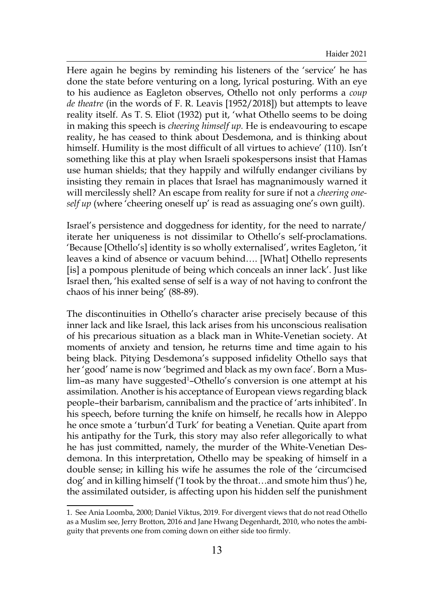Here again he begins by reminding his listeners of the 'service' he has done the state before venturing on a long, lyrical posturing. With an eye to his audience as Eagleton observes, Othello not only performs a *coup de theatre* (in the words of F. R. Leavis [1952/2018]) but attempts to leave reality itself. As T. S. Eliot (1932) put it, 'what Othello seems to be doing in making this speech is *cheering himself up.* He is endeavouring to escape reality, he has ceased to think about Desdemona, and is thinking about himself. Humility is the most difficult of all virtues to achieve' (110). Isn't something like this at play when Israeli spokespersons insist that Hamas use human shields; that they happily and wilfully endanger civilians by insisting they remain in places that Israel has magnanimously warned it will mercilessly shell? An escape from reality for sure if not a *cheering oneself up* (where 'cheering oneself up' is read as assuaging one's own guilt).

Israel's persistence and doggedness for identity, for the need to narrate/ iterate her uniqueness is not dissimilar to Othello's self-proclamations. 'Because [Othello's] identity is so wholly externalised', writes Eagleton, 'it leaves a kind of absence or vacuum behind…. [What] Othello represents [is] a pompous plenitude of being which conceals an inner lack'. Just like Israel then, 'his exalted sense of self is a way of not having to confront the chaos of his inner being' (88-89).

The discontinuities in Othello's character arise precisely because of this inner lack and like Israel, this lack arises from his unconscious realisation of his precarious situation as a black man in White-Venetian society. At moments of anxiety and tension, he returns time and time again to his being black. Pitying Desdemona's supposed infidelity Othello says that her 'good' name is now 'begrimed and black as my own face'. Born a Muslim-as many have suggested<sup>1</sup>-Othello's conversion is one attempt at his assimilation. Another is his acceptance of European views regarding black people–their barbarism, cannibalism and the practice of 'arts inhibited'. In his speech, before turning the knife on himself, he recalls how in Aleppo he once smote a 'turbun'd Turk' for beating a Venetian. Quite apart from his antipathy for the Turk, this story may also refer allegorically to what he has just committed, namely, the murder of the White-Venetian Desdemona. In this interpretation, Othello may be speaking of himself in a double sense; in killing his wife he assumes the role of the 'circumcised dog' and in killing himself ('I took by the throat…and smote him thus') he, the assimilated outsider, is affecting upon his hidden self the punishment

<sup>1.</sup> See Ania Loomba, 2000; Daniel Viktus, 2019. For divergent views that do not read Othello as a Muslim see, Jerry Brotton, 2016 and Jane Hwang Degenhardt, 2010, who notes the ambiguity that prevents one from coming down on either side too firmly.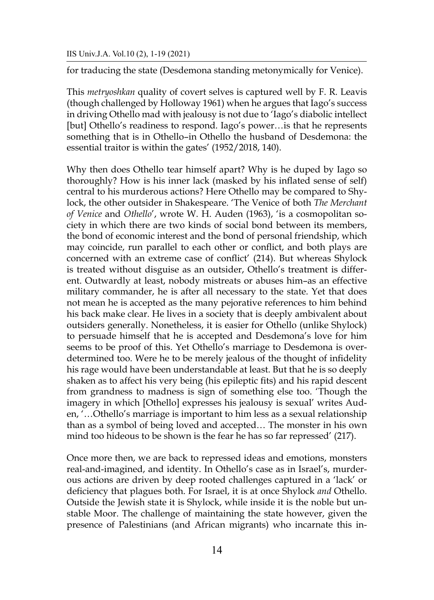for traducing the state (Desdemona standing metonymically for Venice).

This *metryoshkan* quality of covert selves is captured well by F. R. Leavis (though challenged by Holloway 1961) when he argues that Iago's success in driving Othello mad with jealousy is not due to 'Iago's diabolic intellect [but] Othello's readiness to respond. Iago's power…is that he represents something that is in Othello–in Othello the husband of Desdemona: the essential traitor is within the gates' (1952/2018, 140).

Why then does Othello tear himself apart? Why is he duped by Iago so thoroughly? How is his inner lack (masked by his inflated sense of self) central to his murderous actions? Here Othello may be compared to Shylock, the other outsider in Shakespeare. 'The Venice of both *The Merchant of Venice* and *Othello*', wrote W. H. Auden (1963), 'is a cosmopolitan society in which there are two kinds of social bond between its members, the bond of economic interest and the bond of personal friendship, which may coincide, run parallel to each other or conflict, and both plays are concerned with an extreme case of conflict' (214). But whereas Shylock is treated without disguise as an outsider, Othello's treatment is different. Outwardly at least, nobody mistreats or abuses him–as an effective military commander, he is after all necessary to the state. Yet that does not mean he is accepted as the many pejorative references to him behind his back make clear. He lives in a society that is deeply ambivalent about outsiders generally. Nonetheless, it is easier for Othello (unlike Shylock) to persuade himself that he is accepted and Desdemona's love for him seems to be proof of this. Yet Othello's marriage to Desdemona is overdetermined too. Were he to be merely jealous of the thought of infidelity his rage would have been understandable at least. But that he is so deeply shaken as to affect his very being (his epileptic fits) and his rapid descent from grandness to madness is sign of something else too. 'Though the imagery in which [Othello] expresses his jealousy is sexual' writes Auden, '…Othello's marriage is important to him less as a sexual relationship than as a symbol of being loved and accepted… The monster in his own mind too hideous to be shown is the fear he has so far repressed' (217).

Once more then, we are back to repressed ideas and emotions, monsters real-and-imagined, and identity. In Othello's case as in Israel's, murderous actions are driven by deep rooted challenges captured in a 'lack' or deficiency that plagues both. For Israel, it is at once Shylock *and* Othello. Outside the Jewish state it is Shylock, while inside it is the noble but unstable Moor. The challenge of maintaining the state however, given the presence of Palestinians (and African migrants) who incarnate this in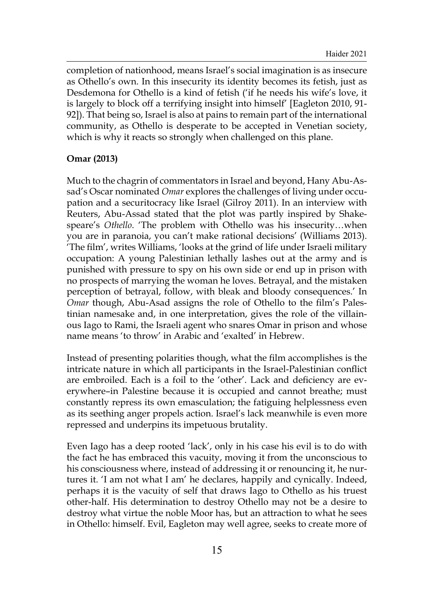completion of nationhood, means Israel's social imagination is as insecure as Othello's own. In this insecurity its identity becomes its fetish, just as Desdemona for Othello is a kind of fetish ('if he needs his wife's love, it is largely to block off a terrifying insight into himself' [Eagleton 2010, 91- 92]). That being so, Israel is also at pains to remain part of the international community, as Othello is desperate to be accepted in Venetian society, which is why it reacts so strongly when challenged on this plane.

# **Omar (2013)**

Much to the chagrin of commentators in Israel and beyond, Hany Abu-Assad's Oscar nominated *Omar* explores the challenges of living under occupation and a securitocracy like Israel (Gilroy 2011). In an interview with Reuters, Abu-Assad stated that the plot was partly inspired by Shakespeare's *Othello*. 'The problem with Othello was his insecurity…when you are in paranoia, you can't make rational decisions' (Williams 2013). 'The film', writes Williams, 'looks at the grind of life under Israeli military occupation: A young Palestinian lethally lashes out at the army and is punished with pressure to spy on his own side or end up in prison with no prospects of marrying the woman he loves. Betrayal, and the mistaken perception of betrayal, follow, with bleak and bloody consequences.' In *Omar* though, Abu-Asad assigns the role of Othello to the film's Palestinian namesake and, in one interpretation, gives the role of the villainous Iago to Rami, the Israeli agent who snares Omar in prison and whose name means 'to throw' in Arabic and 'exalted' in Hebrew.

Instead of presenting polarities though, what the film accomplishes is the intricate nature in which all participants in the Israel-Palestinian conflict are embroiled. Each is a foil to the 'other'. Lack and deficiency are everywhere–in Palestine because it is occupied and cannot breathe; must constantly repress its own emasculation; the fatiguing helplessness even as its seething anger propels action. Israel's lack meanwhile is even more repressed and underpins its impetuous brutality.

Even Iago has a deep rooted 'lack', only in his case his evil is to do with the fact he has embraced this vacuity, moving it from the unconscious to his consciousness where, instead of addressing it or renouncing it, he nurtures it. 'I am not what I am' he declares, happily and cynically. Indeed, perhaps it is the vacuity of self that draws Iago to Othello as his truest other-half. His determination to destroy Othello may not be a desire to destroy what virtue the noble Moor has, but an attraction to what he sees in Othello: himself. Evil, Eagleton may well agree, seeks to create more of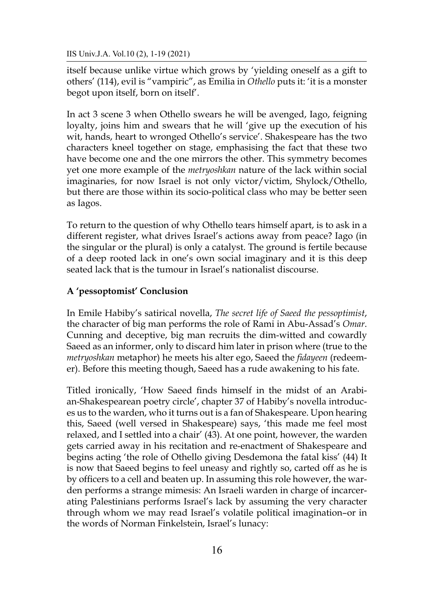itself because unlike virtue which grows by 'yielding oneself as a gift to others' (114), evil is "vampiric", as Emilia in *Othello* puts it: 'it is a monster begot upon itself, born on itself'.

In act 3 scene 3 when Othello swears he will be avenged, Iago, feigning loyalty, joins him and swears that he will 'give up the execution of his wit, hands, heart to wronged Othello's service'. Shakespeare has the two characters kneel together on stage, emphasising the fact that these two have become one and the one mirrors the other. This symmetry becomes yet one more example of the *metryoshkan* nature of the lack within social imaginaries, for now Israel is not only victor/victim, Shylock/Othello, but there are those within its socio-political class who may be better seen as Iagos.

To return to the question of why Othello tears himself apart, is to ask in a different register, what drives Israel's actions away from peace? Iago (in the singular or the plural) is only a catalyst. The ground is fertile because of a deep rooted lack in one's own social imaginary and it is this deep seated lack that is the tumour in Israel's nationalist discourse.

# **A 'pessoptomist' Conclusion**

In Emile Habiby's satirical novella, *The secret life of Saeed the pessoptimist*, the character of big man performs the role of Rami in Abu-Assad's *Omar*. Cunning and deceptive, big man recruits the dim-witted and cowardly Saeed as an informer, only to discard him later in prison where (true to the *metryoshkan* metaphor) he meets his alter ego, Saeed the *fidayeen* (redeemer). Before this meeting though, Saeed has a rude awakening to his fate.

Titled ironically, 'How Saeed finds himself in the midst of an Arabian-Shakespearean poetry circle', chapter 37 of Habiby's novella introduces us to the warden, who it turns out is a fan of Shakespeare. Upon hearing this, Saeed (well versed in Shakespeare) says, 'this made me feel most relaxed, and I settled into a chair' (43). At one point, however, the warden gets carried away in his recitation and re-enactment of Shakespeare and begins acting 'the role of Othello giving Desdemona the fatal kiss' (44) It is now that Saeed begins to feel uneasy and rightly so, carted off as he is by officers to a cell and beaten up. In assuming this role however, the warden performs a strange mimesis: An Israeli warden in charge of incarcerating Palestinians performs Israel's lack by assuming the very character through whom we may read Israel's volatile political imagination–or in the words of Norman Finkelstein, Israel's lunacy: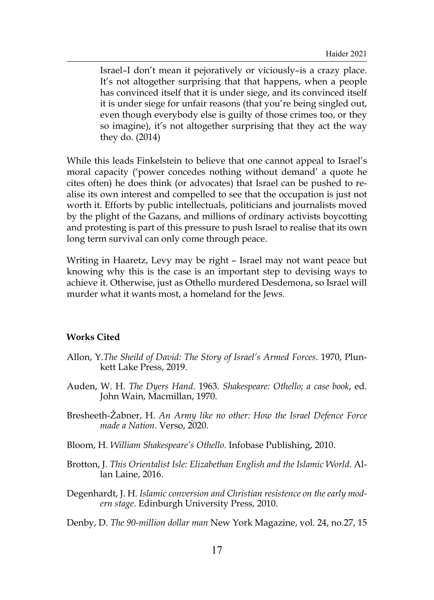Israel–I don't mean it pejoratively or viciously–is a crazy place. It's not altogether surprising that that happens, when a people has convinced itself that it is under siege, and its convinced itself it is under siege for unfair reasons (that you're being singled out, even though everybody else is guilty of those crimes too, or they so imagine), it's not altogether surprising that they act the way they do. (2014)

While this leads Finkelstein to believe that one cannot appeal to Israel's moral capacity ('power concedes nothing without demand' a quote he cites often) he does think (or advocates) that Israel can be pushed to realise its own interest and compelled to see that the occupation is just not worth it. Efforts by public intellectuals, politicians and journalists moved by the plight of the Gazans, and millions of ordinary activists boycotting and protesting is part of this pressure to push Israel to realise that its own long term survival can only come through peace.

Writing in Haaretz, Levy may be right – Israel may not want peace but knowing why this is the case is an important step to devising ways to achieve it. Otherwise, just as Othello murdered Desdemona, so Israel will murder what it wants most, a homeland for the Jews.

## **Works Cited**

- Allon, Y.*The Sheild of David: The Story of Israel's Armed Forces*. 1970, Plunkett Lake Press, 2019.
- Auden, W. H. *The Dyers Hand*. 1963. *Shakespeare: Othello; a case book*, ed. John Wain, Macmillan, 1970.
- Bresheeth-Žabner, H. *An Army like no other: How the Israel Defence Force made a Nation*. Verso, 2020.
- Bloom, H. *William Shakespeare's Othello*. Infobase Publishing, 2010.
- Brotton, J. *This Orientalist Isle: Elizabethan English and the Islamic World*. Allan Laine, 2016.
- Degenhardt, J. H. *Islamic conversion and Christian resistence on the early modern stage*. Edinburgh University Press, 2010.
- Denby, D. *The 90-million dollar man* New York Magazine, vol. 24, no.27, 15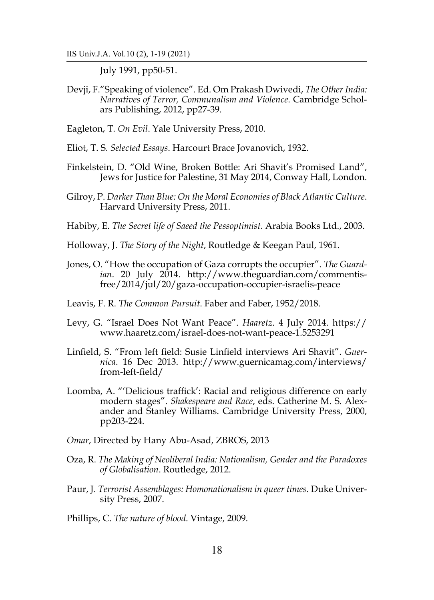July 1991, pp50-51.

Devji, F."Speaking of violence". Ed. Om Prakash Dwivedi, *The Other India: Narratives of Terror, Communalism and Violence*. Cambridge Scholars Publishing, 2012, pp27-39.

Eagleton, T. *On Evil*. Yale University Press, 2010.

- Eliot, T. S. *Selected Essays*. Harcourt Brace Jovanovich, 1932.
- Finkelstein, D. "Old Wine, Broken Bottle: Ari Shavit's Promised Land", Jews for Justice for Palestine, 31 May 2014, Conway Hall, London.
- Gilroy, P. *Darker Than Blue: On the Moral Economies of Black Atlantic Culture*. Harvard University Press, 2011.
- Habiby, E. *The Secret life of Saeed the Pessoptimist*. Arabia Books Ltd., 2003.
- Holloway, J. *The Story of the Night*, Routledge & Keegan Paul, 1961.
- Jones, O. "How the occupation of Gaza corrupts the occupier". *The Guardian*. 20 July 2014. http://www.theguardian.com/commentisfree/2014/jul/20/gaza-occupation-occupier-israelis-peace
- Leavis, F. R. *The Common Pursuit*. Faber and Faber, 1952/2018.
- Levy, G. "Israel Does Not Want Peace". *Haaretz*. 4 July 2014. https:// www.haaretz.com/israel-does-not-want-peace-1.5253291
- Linfield, S. "From left field: Susie Linfield interviews Ari Shavit". *Guernica*. 16 Dec 2013. http://www.guernicamag.com/interviews/ from-left-field/
- Loomba, A. "'Delicious traffick': Racial and religious difference on early modern stages". *Shakespeare and Race*, eds. Catherine M. S. Alexander and Stanley Williams. Cambridge University Press, 2000, pp203-224.
- *Omar*, Directed by Hany Abu-Asad, ZBROS, 2013
- Oza, R. *The Making of Neoliberal India: Nationalism, Gender and the Paradoxes of Globalisation*. Routledge, 2012.
- Paur, J. *Terrorist Assemblages: Homonationalism in queer times*. Duke University Press, 2007.
- Phillips, C. *The nature of blood*. Vintage, 2009.